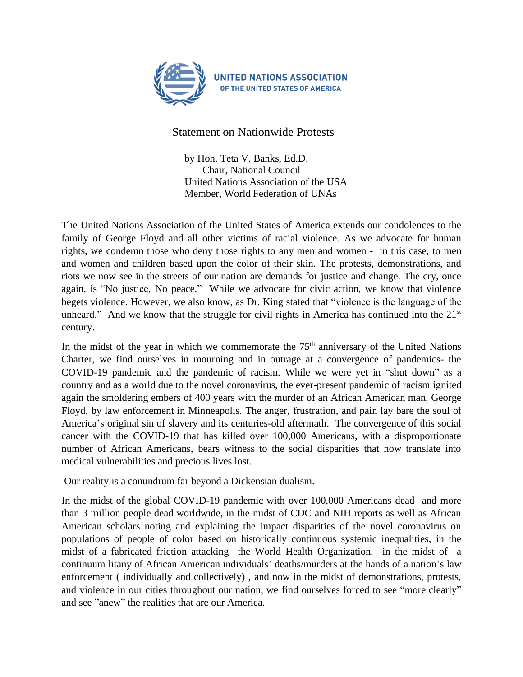

Statement on Nationwide Protests

by Hon. Teta V. Banks, Ed.D. Chair, National Council United Nations Association of the USA Member, World Federation of UNAs

The United Nations Association of the United States of America extends our condolences to the family of George Floyd and all other victims of racial violence. As we advocate for human rights, we condemn those who deny those rights to any men and women - in this case, to men and women and children based upon the color of their skin. The protests, demonstrations, and riots we now see in the streets of our nation are demands for justice and change. The cry, once again, is "No justice, No peace." While we advocate for civic action, we know that violence begets violence. However, we also know, as Dr. King stated that "violence is the language of the unheard." And we know that the struggle for civil rights in America has continued into the  $21<sup>st</sup>$ century.

In the midst of the year in which we commemorate the  $75<sup>th</sup>$  anniversary of the United Nations Charter, we find ourselves in mourning and in outrage at a convergence of pandemics- the COVID-19 pandemic and the pandemic of racism. While we were yet in "shut down" as a country and as a world due to the novel coronavirus, the ever-present pandemic of racism ignited again the smoldering embers of 400 years with the murder of an African American man, George Floyd, by law enforcement in Minneapolis. The anger, frustration, and pain lay bare the soul of America's original sin of slavery and its centuries-old aftermath. The convergence of this social cancer with the COVID-19 that has killed over 100,000 Americans, with a disproportionate number of African Americans, bears witness to the social disparities that now translate into medical vulnerabilities and precious lives lost.

Our reality is a conundrum far beyond a Dickensian dualism.

In the midst of the global COVID-19 pandemic with over 100,000 Americans dead and more than 3 million people dead worldwide, in the midst of CDC and NIH reports as well as African American scholars noting and explaining the impact disparities of the novel coronavirus on populations of people of color based on historically continuous systemic inequalities, in the midst of a fabricated friction attacking the World Health Organization, in the midst of a continuum litany of African American individuals' deaths/murders at the hands of a nation's law enforcement ( individually and collectively) , and now in the midst of demonstrations, protests, and violence in our cities throughout our nation, we find ourselves forced to see "more clearly" and see "anew" the realities that are our America.